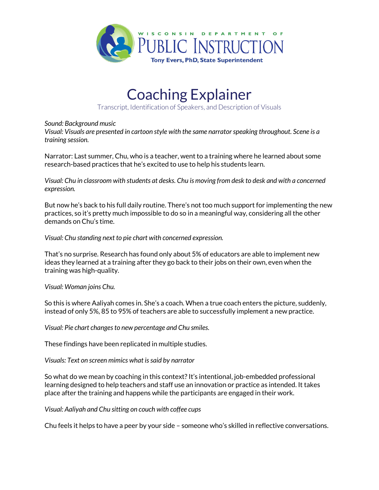

## Coaching Explainer

Transcript, Identification of Speakers, and Description of Visuals

## *Sound: Background music*

*Visual: Visuals are presented in cartoon style with the same narrator speaking throughout. Scene is a training session.*

Narrator: Last summer, Chu, who is a teacher, went to a training where he learned about some research-based practices that he's excited to use to help his students learn.

*Visual: Chu in classroom with students at desks. Chu is moving from desk to desk and with a concerned expression.*

But now he's back to his full daily routine. There's not too much support for implementing the new practices, so it's pretty much impossible to do so in a meaningful way, considering all the other demands on Chu's time.

*Visual: Chu standing next to pie chart with concerned expression.*

That's no surprise. Research has found only about 5% of educators are able to implement new ideas they learned at a training after they go back to their jobs on their own, even when the training was high-quality.

*Visual: Woman joins Chu.*

So this is where Aaliyah comes in. She's a coach. When a true coach enters the picture, suddenly, instead of only 5%, 85 to 95% of teachers are able to successfully implement a new practice.

*Visual: Pie chart changes to new percentage and Chu smiles.*

These findings have been replicated in multiple studies.

*Visuals: Text on screen mimics what is said by narrator*

So what do we mean by coaching in this context? It's intentional, job-embedded professional learning designed to help teachers and staff use an innovation or practice as intended. It takes place after the training and happens while the participants are engaged in their work.

*Visual: Aaliyah and Chu sitting on couch with coffee cups*

Chu feels it helps to have a peer by your side – someone who's skilled in reflective conversations.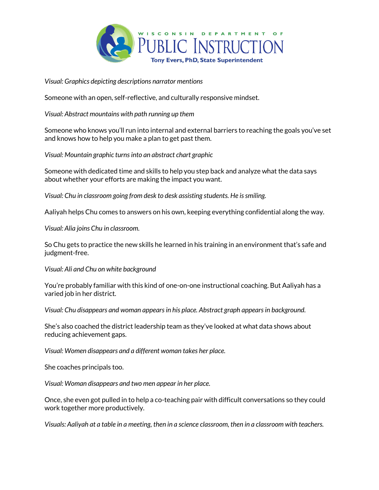

*Visual: Graphics depicting descriptions narrator mentions*

Someone with an open, self-reflective, and culturally responsive mindset.

*Visual: Abstract mountains with path running up them*

Someone who knows you'll run into internal and external barriers to reaching the goals you've set and knows how to help you make a plan to get past them.

*Visual: Mountain graphic turns into an abstract chart graphic*

Someone with dedicated time and skills to help you step back and analyze what the data says about whether your efforts are making the impact you want.

*Visual: Chu in classroom going from desk to desk assisting students. He is smiling.*

Aaliyah helps Chu comes to answers on his own, keeping everything confidential along the way.

*Visual: Alia joins Chu in classroom.*

So Chu gets to practice the new skills he learned in his training in an environment that's safe and judgment-free.

*Visual: Ali and Chu on white background*

You're probably familiar with this kind of one-on-one instructional coaching. But Aaliyah has a varied job in her district.

*Visual: Chu disappears and woman appears in his place. Abstract graph appears in background.*

She's also coached the district leadership team as they've looked at what data shows about reducing achievement gaps.

*Visual: Women disappears and a different woman takes her place.*

She coaches principals too.

*Visual: Woman disappears and two men appear in her place.*

Once, she even got pulled in to help a co-teaching pair with difficult conversations so they could work together more productively.

*Visuals: Aaliyah at a table in a meeting, then in a science classroom, then in a classroom with teachers.*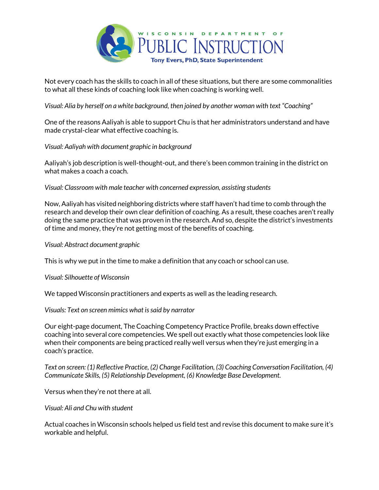

Not every coach has the skills to coach in all of these situations, but there are some commonalities to what all these kinds of coaching look like when coaching is working well.

*Visual: Alia by herself on a white background, then joined by another woman with text "Coaching"*

One of the reasons Aaliyah is able to support Chu is that her administrators understand and have made crystal-clear what effective coaching is.

*Visual: Aaliyah with document graphic in background*

Aaliyah's job description is well-thought-out, and there's been common training in the district on what makes a coach a coach.

*Visual: Classroom with male teacher with concerned expression, assisting students*

Now, Aaliyah has visited neighboring districts where staff haven't had time to comb through the research and develop their own clear definition of coaching. As a result, these coaches aren't really doing the same practice that was proven in the research. And so, despite the district's investments of time and money, they're not getting most of the benefits of coaching.

*Visual: Abstract document graphic*

This is why we put in the time to make a definition that any coach or school can use.

*Visual: Silhouette of Wisconsin*

We tapped Wisconsin practitioners and experts as well as the leading research.

*Visuals: Text on screen mimics what is said by narrator*

Our eight-page document, The Coaching Competency Practice Profile, breaks down effective coaching into several core competencies. We spell out exactly what those competencies look like when their components are being practiced really well versus when they're just emerging in a coach's practice.

*Text on screen: (1) Reflective Practice, (2) Change Facilitation, (3) Coaching Conversation Facilitation, (4) Communicate Skills, (5) Relationship Development, (6) Knowledge Base Development.*

Versus when they're not there at all.

*Visual: Ali and Chu with student*

Actual coaches in Wisconsin schools helped us field test and revise this document to make sure it's workable and helpful.